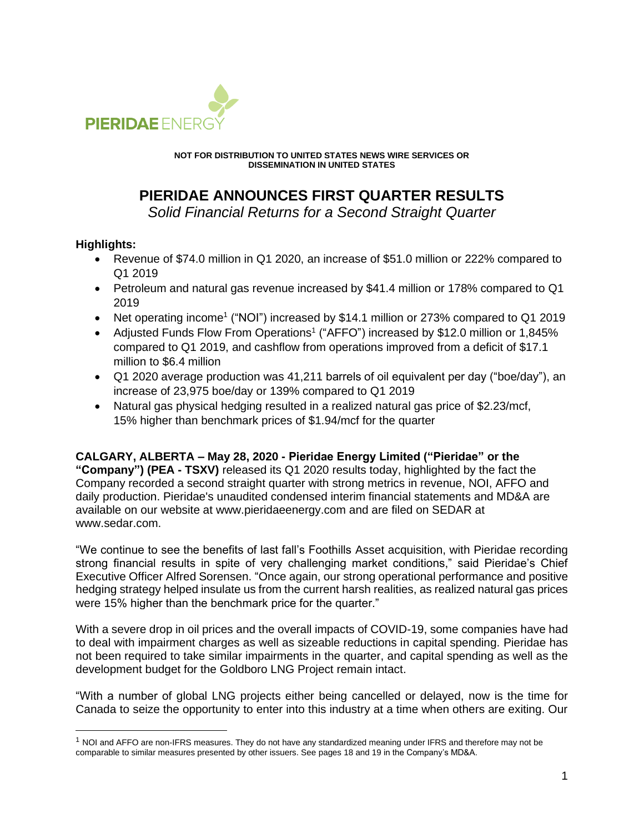

**NOT FOR DISTRIBUTION TO UNITED STATES NEWS WIRE SERVICES OR DISSEMINATION IN UNITED STATES**

# **PIERIDAE ANNOUNCES FIRST QUARTER RESULTS**

*Solid Financial Returns for a Second Straight Quarter*

## **Highlights:**

- Revenue of \$74.0 million in Q1 2020, an increase of \$51.0 million or 222% compared to Q1 2019
- Petroleum and natural gas revenue increased by \$41.4 million or 178% compared to Q1 2019
- Net operating income<sup>1</sup> ("NOI") increased by \$14.1 million or 273% compared to Q1 2019
- Adjusted Funds Flow From Operations<sup>1</sup> ("AFFO") increased by \$12.0 million or 1,845% compared to Q1 2019, and cashflow from operations improved from a deficit of \$17.1 million to \$6.4 million
- Q1 2020 average production was 41,211 barrels of oil equivalent per day ("boe/day"), an increase of 23,975 boe/day or 139% compared to Q1 2019
- Natural gas physical hedging resulted in a realized natural gas price of \$2.23/mcf, 15% higher than benchmark prices of \$1.94/mcf for the quarter

**CALGARY, ALBERTA – May 28, 2020 - Pieridae Energy Limited ("Pieridae" or the "Company") (PEA - TSXV)** released its Q1 2020 results today, highlighted by the fact the

Company recorded a second straight quarter with strong metrics in revenue, NOI, AFFO and daily production. Pieridae's unaudited condensed interim financial statements and MD&A are available on our website at www.pieridaeenergy.com and are filed on SEDAR at www.sedar.com.

"We continue to see the benefits of last fall's Foothills Asset acquisition, with Pieridae recording strong financial results in spite of very challenging market conditions," said Pieridae's Chief Executive Officer Alfred Sorensen. "Once again, our strong operational performance and positive hedging strategy helped insulate us from the current harsh realities, as realized natural gas prices were 15% higher than the benchmark price for the quarter."

With a severe drop in oil prices and the overall impacts of COVID-19, some companies have had to deal with impairment charges as well as sizeable reductions in capital spending. Pieridae has not been required to take similar impairments in the quarter, and capital spending as well as the development budget for the Goldboro LNG Project remain intact.

"With a number of global LNG projects either being cancelled or delayed, now is the time for Canada to seize the opportunity to enter into this industry at a time when others are exiting. Our

<sup>1</sup> NOI and AFFO are non-IFRS measures. They do not have any standardized meaning under IFRS and therefore may not be comparable to similar measures presented by other issuers. See pages 18 and 19 in the Company's MD&A.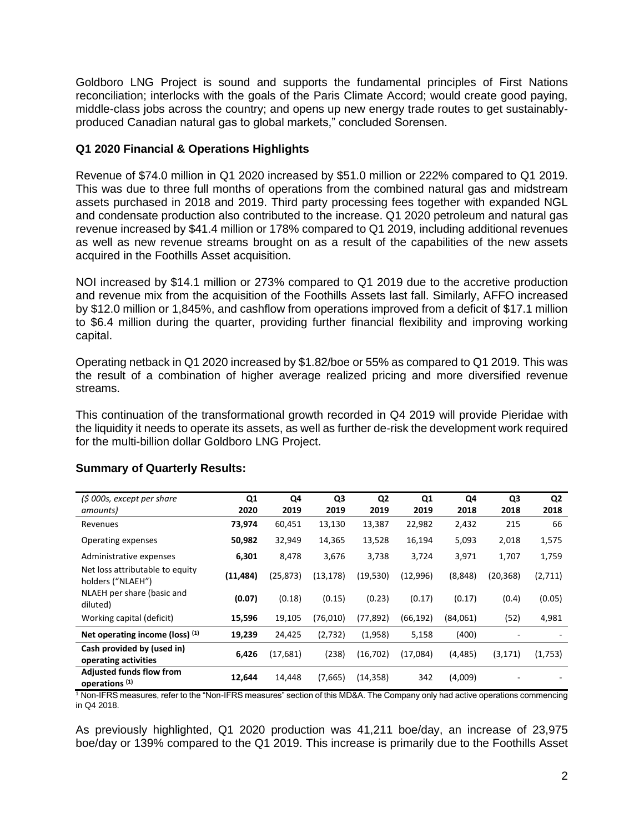Goldboro LNG Project is sound and supports the fundamental principles of First Nations reconciliation; interlocks with the goals of the Paris Climate Accord; would create good paying, middle-class jobs across the country; and opens up new energy trade routes to get sustainablyproduced Canadian natural gas to global markets," concluded Sorensen.

## **Q1 2020 Financial & Operations Highlights**

Revenue of \$74.0 million in Q1 2020 increased by \$51.0 million or 222% compared to Q1 2019. This was due to three full months of operations from the combined natural gas and midstream assets purchased in 2018 and 2019. Third party processing fees together with expanded NGL and condensate production also contributed to the increase. Q1 2020 petroleum and natural gas revenue increased by \$41.4 million or 178% compared to Q1 2019, including additional revenues as well as new revenue streams brought on as a result of the capabilities of the new assets acquired in the Foothills Asset acquisition.

NOI increased by \$14.1 million or 273% compared to Q1 2019 due to the accretive production and revenue mix from the acquisition of the Foothills Assets last fall. Similarly, AFFO increased by \$12.0 million or 1,845%, and cashflow from operations improved from a deficit of \$17.1 million to \$6.4 million during the quarter, providing further financial flexibility and improving working capital.

Operating netback in Q1 2020 increased by \$1.82/boe or 55% as compared to Q1 2019. This was the result of a combination of higher average realized pricing and more diversified revenue streams.

This continuation of the transformational growth recorded in Q4 2019 will provide Pieridae with the liquidity it needs to operate its assets, as well as further de-risk the development work required for the multi-billion dollar Goldboro LNG Project.

| (\$ 000s, except per share                                   | Q <sub>1</sub> | Q4        | Q <sub>3</sub> | Q <sub>2</sub> | Q1        | Q4       | Q <sub>3</sub> | Q <sub>2</sub> |
|--------------------------------------------------------------|----------------|-----------|----------------|----------------|-----------|----------|----------------|----------------|
| amounts)                                                     | 2020           | 2019      | 2019           | 2019           | 2019      | 2018     | 2018           | 2018           |
| Revenues                                                     | 73,974         | 60,451    | 13,130         | 13,387         | 22,982    | 2,432    | 215            | 66             |
| Operating expenses                                           | 50,982         | 32,949    | 14,365         | 13,528         | 16,194    | 5,093    | 2,018          | 1,575          |
| Administrative expenses                                      | 6,301          | 8,478     | 3,676          | 3,738          | 3,724     | 3,971    | 1,707          | 1,759          |
| Net loss attributable to equity<br>holders ("NLAEH")         | (11, 484)      | (25, 873) | (13, 178)      | (19,530)       | (12,996)  | (8,848)  | (20, 368)      | (2,711)        |
| NLAEH per share (basic and<br>diluted)                       | (0.07)         | (0.18)    | (0.15)         | (0.23)         | (0.17)    | (0.17)   | (0.4)          | (0.05)         |
| Working capital (deficit)                                    | 15,596         | 19,105    | (76,010)       | (77, 892)      | (66, 192) | (84,061) | (52)           | 4,981          |
| Net operating income (loss) $(1)$                            | 19,239         | 24,425    | (2,732)        | (1,958)        | 5,158     | (400)    |                |                |
| Cash provided by (used in)<br>operating activities           | 6,426          | (17, 681) | (238)          | (16, 702)      | (17,084)  | (4, 485) | (3, 171)       | (1,753)        |
| <b>Adjusted funds flow from</b><br>operations <sup>(1)</sup> | 12,644         | 14,448    | (7,665)        | (14, 358)      | 342       | (4,009)  |                |                |

## **Summary of Quarterly Results:**

<sup>1</sup> Non-IFRS measures, refer to the "Non-IFRS measures" section of this MD&A. The Company only had active operations commencing in Q4 2018.

As previously highlighted, Q1 2020 production was 41,211 boe/day, an increase of 23,975 boe/day or 139% compared to the Q1 2019. This increase is primarily due to the Foothills Asset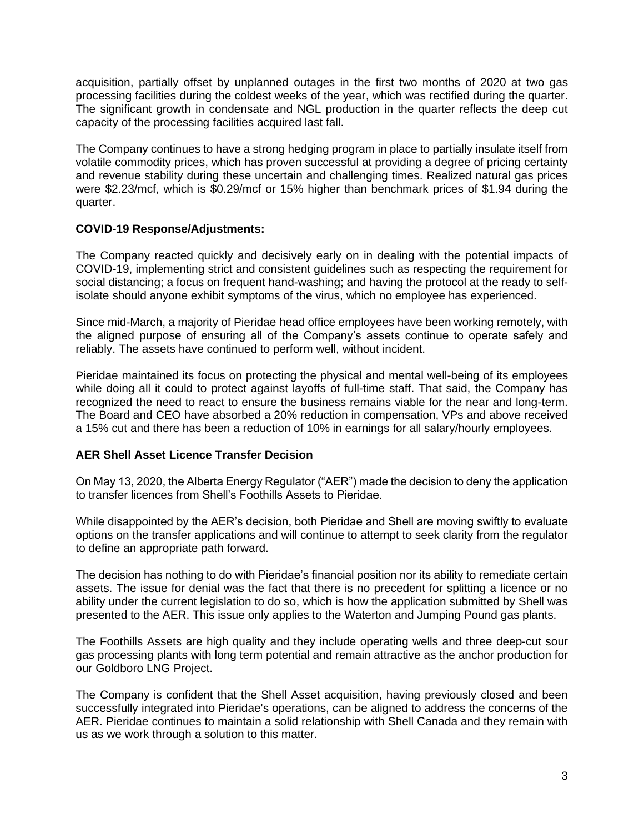acquisition, partially offset by unplanned outages in the first two months of 2020 at two gas processing facilities during the coldest weeks of the year, which was rectified during the quarter. The significant growth in condensate and NGL production in the quarter reflects the deep cut capacity of the processing facilities acquired last fall.

The Company continues to have a strong hedging program in place to partially insulate itself from volatile commodity prices, which has proven successful at providing a degree of pricing certainty and revenue stability during these uncertain and challenging times. Realized natural gas prices were \$2.23/mcf, which is \$0.29/mcf or 15% higher than benchmark prices of \$1.94 during the quarter.

## **COVID-19 Response/Adjustments:**

The Company reacted quickly and decisively early on in dealing with the potential impacts of COVID-19, implementing strict and consistent guidelines such as respecting the requirement for social distancing; a focus on frequent hand-washing; and having the protocol at the ready to selfisolate should anyone exhibit symptoms of the virus, which no employee has experienced.

Since mid-March, a majority of Pieridae head office employees have been working remotely, with the aligned purpose of ensuring all of the Company's assets continue to operate safely and reliably. The assets have continued to perform well, without incident.

Pieridae maintained its focus on protecting the physical and mental well-being of its employees while doing all it could to protect against layoffs of full-time staff. That said, the Company has recognized the need to react to ensure the business remains viable for the near and long-term. The Board and CEO have absorbed a 20% reduction in compensation, VPs and above received a 15% cut and there has been a reduction of 10% in earnings for all salary/hourly employees.

## **AER Shell Asset Licence Transfer Decision**

On May 13, 2020, the Alberta Energy Regulator ("AER") made the decision to deny the application to transfer licences from Shell's Foothills Assets to Pieridae.

While disappointed by the AER's decision, both Pieridae and Shell are moving swiftly to evaluate options on the transfer applications and will continue to attempt to seek clarity from the regulator to define an appropriate path forward.

The decision has nothing to do with Pieridae's financial position nor its ability to remediate certain assets. The issue for denial was the fact that there is no precedent for splitting a licence or no ability under the current legislation to do so, which is how the application submitted by Shell was presented to the AER. This issue only applies to the Waterton and Jumping Pound gas plants.

The Foothills Assets are high quality and they include operating wells and three deep-cut sour gas processing plants with long term potential and remain attractive as the anchor production for our Goldboro LNG Project.

The Company is confident that the Shell Asset acquisition, having previously closed and been successfully integrated into Pieridae's operations, can be aligned to address the concerns of the AER. Pieridae continues to maintain a solid relationship with Shell Canada and they remain with us as we work through a solution to this matter.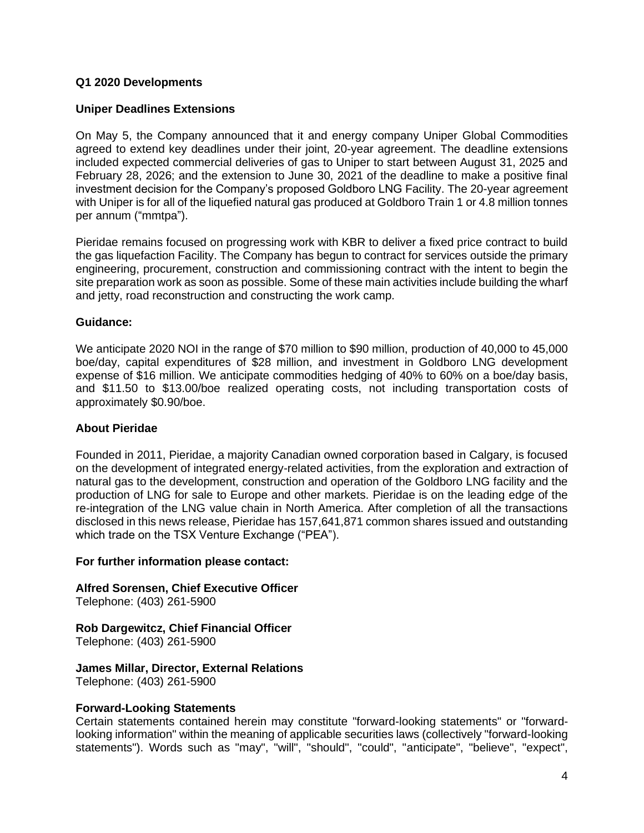## **Q1 2020 Developments**

#### **Uniper Deadlines Extensions**

On May 5, the Company announced that it and energy company Uniper Global Commodities agreed to extend key deadlines under their joint, 20-year agreement. The deadline extensions included expected commercial deliveries of gas to Uniper to start between August 31, 2025 and February 28, 2026; and the extension to June 30, 2021 of the deadline to make a positive final investment decision for the Company's proposed Goldboro LNG Facility. The 20-year agreement with Uniper is for all of the liquefied natural gas produced at Goldboro Train 1 or 4.8 million tonnes per annum ("mmtpa").

Pieridae remains focused on progressing work with KBR to deliver a fixed price contract to build the gas liquefaction Facility. The Company has begun to contract for services outside the primary engineering, procurement, construction and commissioning contract with the intent to begin the site preparation work as soon as possible. Some of these main activities include building the wharf and jetty, road reconstruction and constructing the work camp.

#### **Guidance:**

We anticipate 2020 NOI in the range of \$70 million to \$90 million, production of 40,000 to 45,000 boe/day, capital expenditures of \$28 million, and investment in Goldboro LNG development expense of \$16 million. We anticipate commodities hedging of 40% to 60% on a boe/day basis, and \$11.50 to \$13.00/boe realized operating costs, not including transportation costs of approximately \$0.90/boe.

## **About Pieridae**

Founded in 2011, Pieridae, a majority Canadian owned corporation based in Calgary, is focused on the development of integrated energy-related activities, from the exploration and extraction of natural gas to the development, construction and operation of the Goldboro LNG facility and the production of LNG for sale to Europe and other markets. Pieridae is on the leading edge of the re-integration of the LNG value chain in North America. After completion of all the transactions disclosed in this news release, Pieridae has 157,641,871 common shares issued and outstanding which trade on the TSX Venture Exchange ("PEA").

#### **For further information please contact:**

## **Alfred Sorensen, Chief Executive Officer**

Telephone: (403) 261-5900

## **Rob Dargewitcz, Chief Financial Officer**

Telephone: (403) 261-5900

## **James Millar, Director, External Relations**

Telephone: (403) 261-5900

#### **Forward-Looking Statements**

Certain statements contained herein may constitute "forward-looking statements" or "forwardlooking information" within the meaning of applicable securities laws (collectively "forward-looking statements"). Words such as "may", "will", "should", "could", "anticipate", "believe", "expect",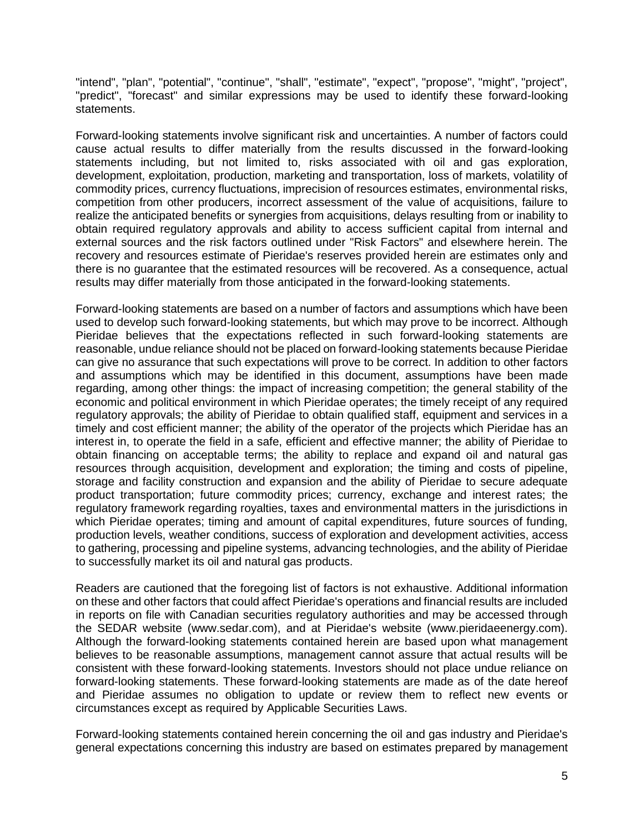"intend", "plan", "potential", "continue", "shall", "estimate", "expect", "propose", "might", "project", "predict", "forecast" and similar expressions may be used to identify these forward-looking statements.

Forward-looking statements involve significant risk and uncertainties. A number of factors could cause actual results to differ materially from the results discussed in the forward-looking statements including, but not limited to, risks associated with oil and gas exploration, development, exploitation, production, marketing and transportation, loss of markets, volatility of commodity prices, currency fluctuations, imprecision of resources estimates, environmental risks, competition from other producers, incorrect assessment of the value of acquisitions, failure to realize the anticipated benefits or synergies from acquisitions, delays resulting from or inability to obtain required regulatory approvals and ability to access sufficient capital from internal and external sources and the risk factors outlined under "Risk Factors" and elsewhere herein. The recovery and resources estimate of Pieridae's reserves provided herein are estimates only and there is no guarantee that the estimated resources will be recovered. As a consequence, actual results may differ materially from those anticipated in the forward-looking statements.

Forward-looking statements are based on a number of factors and assumptions which have been used to develop such forward-looking statements, but which may prove to be incorrect. Although Pieridae believes that the expectations reflected in such forward-looking statements are reasonable, undue reliance should not be placed on forward-looking statements because Pieridae can give no assurance that such expectations will prove to be correct. In addition to other factors and assumptions which may be identified in this document, assumptions have been made regarding, among other things: the impact of increasing competition; the general stability of the economic and political environment in which Pieridae operates; the timely receipt of any required regulatory approvals; the ability of Pieridae to obtain qualified staff, equipment and services in a timely and cost efficient manner; the ability of the operator of the projects which Pieridae has an interest in, to operate the field in a safe, efficient and effective manner; the ability of Pieridae to obtain financing on acceptable terms; the ability to replace and expand oil and natural gas resources through acquisition, development and exploration; the timing and costs of pipeline, storage and facility construction and expansion and the ability of Pieridae to secure adequate product transportation; future commodity prices; currency, exchange and interest rates; the regulatory framework regarding royalties, taxes and environmental matters in the jurisdictions in which Pieridae operates; timing and amount of capital expenditures, future sources of funding, production levels, weather conditions, success of exploration and development activities, access to gathering, processing and pipeline systems, advancing technologies, and the ability of Pieridae to successfully market its oil and natural gas products.

Readers are cautioned that the foregoing list of factors is not exhaustive. Additional information on these and other factors that could affect Pieridae's operations and financial results are included in reports on file with Canadian securities regulatory authorities and may be accessed through the SEDAR website (www.sedar.com), and at Pieridae's website (www.pieridaeenergy.com). Although the forward-looking statements contained herein are based upon what management believes to be reasonable assumptions, management cannot assure that actual results will be consistent with these forward-looking statements. Investors should not place undue reliance on forward-looking statements. These forward-looking statements are made as of the date hereof and Pieridae assumes no obligation to update or review them to reflect new events or circumstances except as required by Applicable Securities Laws.

Forward-looking statements contained herein concerning the oil and gas industry and Pieridae's general expectations concerning this industry are based on estimates prepared by management